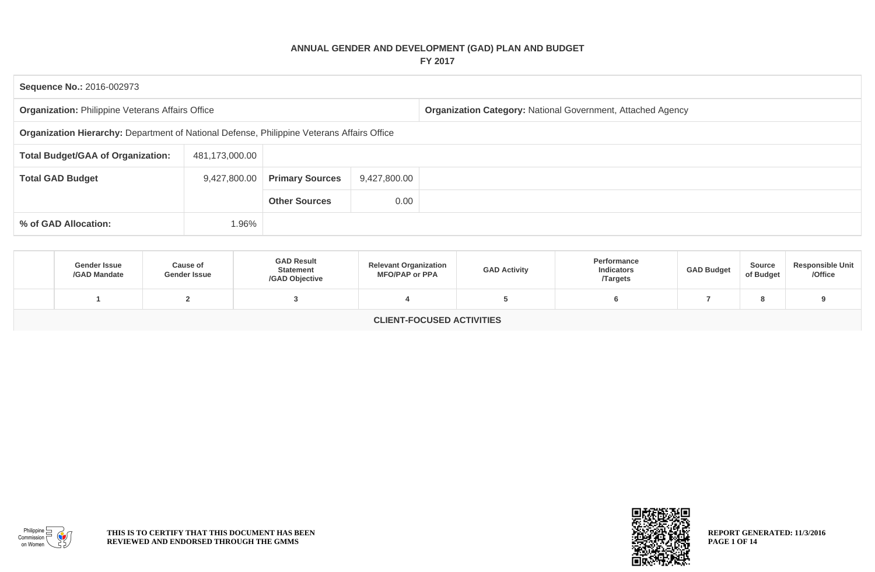## **ANNUAL GENDER AND DEVELOPMENT (GAD) PLAN AND BUDGET FY 2017**

| <b>Sequence No.: 2016-002973</b>                                                           |                |                        |              |                                                             |  |  |  |  |  |
|--------------------------------------------------------------------------------------------|----------------|------------------------|--------------|-------------------------------------------------------------|--|--|--|--|--|
| <b>Organization: Philippine Veterans Affairs Office</b>                                    |                |                        |              | Organization Category: National Government, Attached Agency |  |  |  |  |  |
| Organization Hierarchy: Department of National Defense, Philippine Veterans Affairs Office |                |                        |              |                                                             |  |  |  |  |  |
| <b>Total Budget/GAA of Organization:</b>                                                   | 481,173,000.00 |                        |              |                                                             |  |  |  |  |  |
| <b>Total GAD Budget</b>                                                                    | 9,427,800.00   | <b>Primary Sources</b> | 9,427,800.00 |                                                             |  |  |  |  |  |
|                                                                                            |                | <b>Other Sources</b>   | 0.00         |                                                             |  |  |  |  |  |
| % of GAD Allocation:                                                                       | 1.96%          |                        |              |                                                             |  |  |  |  |  |

| <b>Gender Issue</b><br>/GAD Mandate | <b>Cause of</b><br><b>Gender Issue</b> | <b>GAD Result</b><br><b>Statement</b><br>/GAD Objective | <b>Relevant Organization</b><br><b>MFO/PAP or PPA</b> | <b>GAD Activity</b> | Performance<br><b>Indicators</b><br><b>Targets</b> | <b>GAD Budget</b> | <b>Source</b><br>of Budget | <b>Responsible Unit</b><br>/Office |  |  |
|-------------------------------------|----------------------------------------|---------------------------------------------------------|-------------------------------------------------------|---------------------|----------------------------------------------------|-------------------|----------------------------|------------------------------------|--|--|
|                                     |                                        |                                                         |                                                       |                     |                                                    |                   |                            |                                    |  |  |
| <b>CLIENT-FOCUSED ACTIVITIES</b>    |                                        |                                                         |                                                       |                     |                                                    |                   |                            |                                    |  |  |



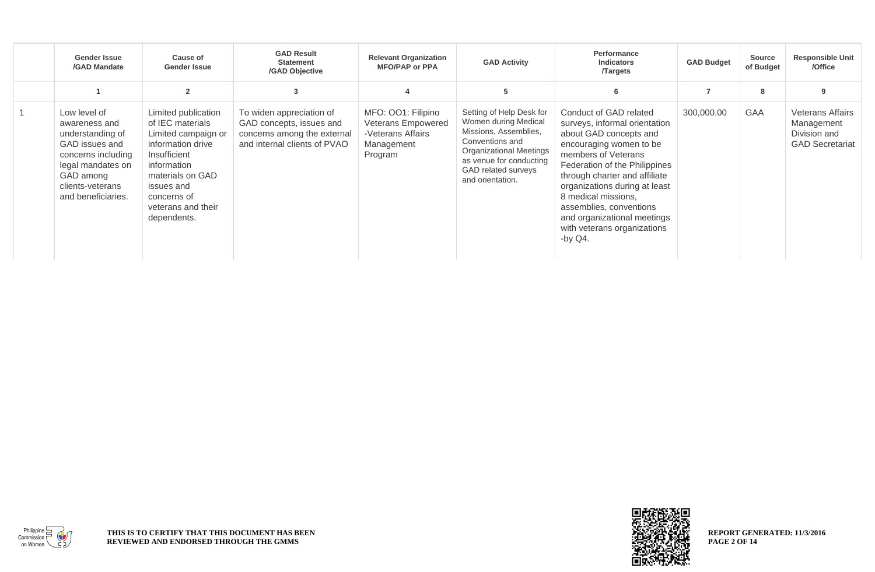| <b>Gender Issue</b><br>/GAD Mandate                                                                                                                                   | Cause of<br><b>Gender Issue</b>                                                                                                                                                                          | <b>GAD Result</b><br><b>Statement</b><br>/GAD Objective                                                             | <b>Relevant Organization</b><br><b>MFO/PAP or PPA</b>                                  | <b>GAD Activity</b>                                                                                                                                                                           | Performance<br><b>Indicators</b><br><b>Targets</b>                                                                                                                                                                                                                                                                                                                   | <b>GAD Budget</b> | <b>Source</b><br>of Budget | <b>Responsible Unit</b><br>/Office                                              |
|-----------------------------------------------------------------------------------------------------------------------------------------------------------------------|----------------------------------------------------------------------------------------------------------------------------------------------------------------------------------------------------------|---------------------------------------------------------------------------------------------------------------------|----------------------------------------------------------------------------------------|-----------------------------------------------------------------------------------------------------------------------------------------------------------------------------------------------|----------------------------------------------------------------------------------------------------------------------------------------------------------------------------------------------------------------------------------------------------------------------------------------------------------------------------------------------------------------------|-------------------|----------------------------|---------------------------------------------------------------------------------|
|                                                                                                                                                                       |                                                                                                                                                                                                          | 3                                                                                                                   |                                                                                        | 5                                                                                                                                                                                             | 6                                                                                                                                                                                                                                                                                                                                                                    | $\overline{7}$    | 8                          |                                                                                 |
| Low level of<br>awareness and<br>understanding of<br>GAD issues and<br>concerns including<br>legal mandates on<br>GAD among<br>clients-veterans<br>and beneficiaries. | Limited publication<br>of IEC materials<br>Limited campaign or<br>information drive<br>Insufficient<br>information<br>materials on GAD<br>issues and<br>concerns of<br>veterans and their<br>dependents. | To widen appreciation of<br>GAD concepts, issues and<br>concerns among the external<br>and internal clients of PVAO | MFO: 001: Filipino<br>Veterans Empowered<br>-Veterans Affairs<br>Management<br>Program | Setting of Help Desk for<br>Women during Medical<br>Missions, Assemblies,<br>Conventions and<br>Organizational Meetings<br>as venue for conducting<br>GAD related surveys<br>and orientation. | Conduct of GAD related<br>surveys, informal orientation<br>about GAD concepts and<br>encouraging women to be<br>members of Veterans<br>Federation of the Philippines<br>through charter and affiliate<br>organizations during at least<br>8 medical missions,<br>assemblies, conventions<br>and organizational meetings<br>with veterans organizations<br>-by $Q4$ . | 300,000.00        | <b>GAA</b>                 | <b>Veterans Affairs</b><br>Management<br>Division and<br><b>GAD Secretariat</b> |



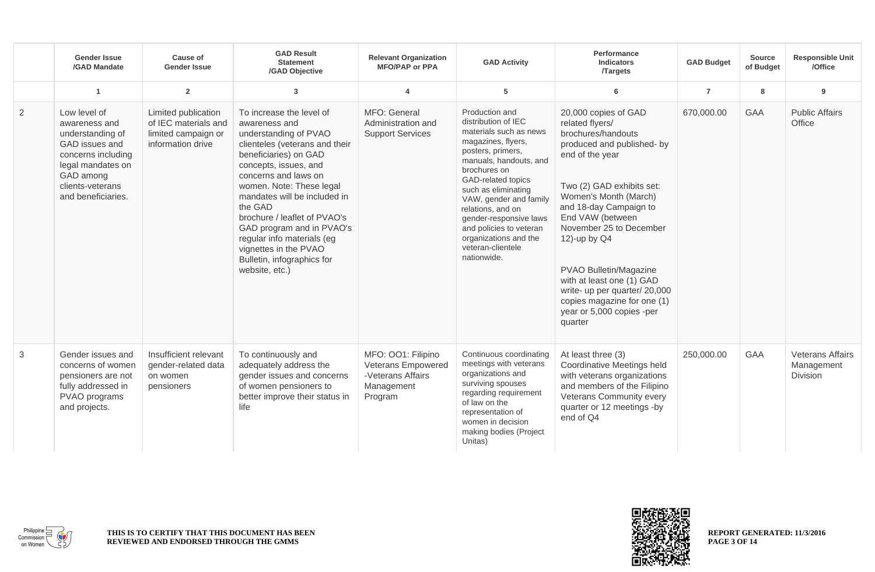|   | <b>Gender Issue</b><br>/GAD Mandate                                                                                                                                   | Cause of<br><b>Gender Issue</b>                                                         | <b>GAD Result</b><br><b>Statement</b><br>/GAD Objective                                                                                                                                                                                                                                                                                                                                                                   | <b>Relevant Organization</b><br><b>MFO/PAP or PPA</b>                                  | <b>GAD Activity</b>                                                                                                                                                                                                                                                                                                                                                | <b>Performance</b><br><b>Indicators</b><br><b>Targets</b>                                                                                                                                                                                                                                                                                                                                                                    | <b>GAD Budget</b> | <b>Source</b><br>of Budget | <b>Responsible Unit</b><br>/Office                       |
|---|-----------------------------------------------------------------------------------------------------------------------------------------------------------------------|-----------------------------------------------------------------------------------------|---------------------------------------------------------------------------------------------------------------------------------------------------------------------------------------------------------------------------------------------------------------------------------------------------------------------------------------------------------------------------------------------------------------------------|----------------------------------------------------------------------------------------|--------------------------------------------------------------------------------------------------------------------------------------------------------------------------------------------------------------------------------------------------------------------------------------------------------------------------------------------------------------------|------------------------------------------------------------------------------------------------------------------------------------------------------------------------------------------------------------------------------------------------------------------------------------------------------------------------------------------------------------------------------------------------------------------------------|-------------------|----------------------------|----------------------------------------------------------|
|   | $\overline{1}$                                                                                                                                                        | $\overline{2}$                                                                          | $\overline{3}$                                                                                                                                                                                                                                                                                                                                                                                                            | $\overline{\mathbf{4}}$                                                                | 5                                                                                                                                                                                                                                                                                                                                                                  | 6                                                                                                                                                                                                                                                                                                                                                                                                                            | $\overline{7}$    | 8                          | 9                                                        |
| 2 | Low level of<br>awareness and<br>understanding of<br>GAD issues and<br>concerns including<br>legal mandates on<br>GAD among<br>clients-veterans<br>and beneficiaries. | Limited publication<br>of IEC materials and<br>limited campaign or<br>information drive | To increase the level of<br>awareness and<br>understanding of PVAO<br>clienteles (veterans and their<br>beneficiaries) on GAD<br>concepts, issues, and<br>concerns and laws on<br>women. Note: These legal<br>mandates will be included in<br>the GAD<br>brochure / leaflet of PVAO's<br>GAD program and in PVAO's<br>regular info materials (eg<br>vignettes in the PVAO<br>Bulletin, infographics for<br>website, etc.) | MFO: General<br>Administration and<br><b>Support Services</b>                          | Production and<br>distribution of IEC<br>materials such as news<br>magazines, flyers,<br>posters, primers,<br>manuals, handouts, and<br>brochures on<br>GAD-related topics<br>such as eliminating<br>VAW, gender and family<br>relations, and on<br>gender-responsive laws<br>and policies to veteran<br>organizations and the<br>veteran-clientele<br>nationwide. | 20,000 copies of GAD<br>related flyers/<br>brochures/handouts<br>produced and published- by<br>end of the year<br>Two (2) GAD exhibits set:<br>Women's Month (March)<br>and 18-day Campaign to<br>End VAW (between<br>November 25 to December<br>12)-up by Q4<br>PVAO Bulletin/Magazine<br>with at least one (1) GAD<br>write- up per quarter/ 20,000<br>copies magazine for one (1)<br>year or 5,000 copies -per<br>quarter | 670,000.00        | GAA                        | <b>Public Affairs</b><br>Office                          |
| 3 | Gender issues and<br>concerns of women<br>pensioners are not<br>fully addressed in<br>PVAO programs<br>and projects.                                                  | Insufficient relevant<br>gender-related data<br>on women<br>pensioners                  | To continuously and<br>adequately address the<br>gender issues and concerns<br>of women pensioners to<br>better improve their status in<br>life                                                                                                                                                                                                                                                                           | MFO: 001: Filipino<br>Veterans Empowered<br>-Veterans Affairs<br>Management<br>Program | Continuous coordinating<br>meetings with veterans<br>organizations and<br>surviving spouses<br>regarding requirement<br>of law on the<br>representation of<br>women in decision<br>making bodies (Project<br>Unitas)                                                                                                                                               | At least three (3)<br>Coordinative Meetings held<br>with veterans organizations<br>and members of the Filipino<br>Veterans Community every<br>quarter or 12 meetings -by<br>end of Q4                                                                                                                                                                                                                                        | 250,000.00        | GAA                        | <b>Veterans Affairs</b><br>Management<br><b>Division</b> |



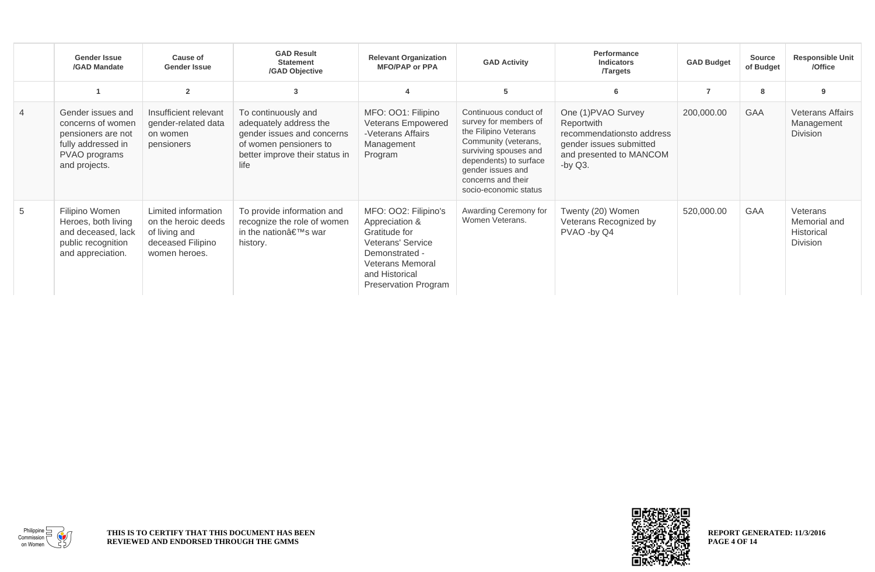|                | <b>Gender Issue</b><br>/GAD Mandate                                                                                  | Cause of<br><b>Gender Issue</b>                                                                   | <b>GAD Result</b><br><b>Statement</b><br>/GAD Objective                                                                                         | <b>Relevant Organization</b><br><b>MFO/PAP or PPA</b>                                                                                                               | <b>GAD Activity</b>                                                                                                                                                                                                    | Performance<br><b>Indicators</b><br><b>Targets</b>                                                                                 | <b>GAD Budget</b> | <b>Source</b><br>of Budget | <b>Responsible Unit</b><br>/Office                        |
|----------------|----------------------------------------------------------------------------------------------------------------------|---------------------------------------------------------------------------------------------------|-------------------------------------------------------------------------------------------------------------------------------------------------|---------------------------------------------------------------------------------------------------------------------------------------------------------------------|------------------------------------------------------------------------------------------------------------------------------------------------------------------------------------------------------------------------|------------------------------------------------------------------------------------------------------------------------------------|-------------------|----------------------------|-----------------------------------------------------------|
|                |                                                                                                                      | $\overline{2}$                                                                                    | 3                                                                                                                                               |                                                                                                                                                                     | 5                                                                                                                                                                                                                      | 6                                                                                                                                  | $\overline{7}$    | 8                          | 9                                                         |
| $\overline{4}$ | Gender issues and<br>concerns of women<br>pensioners are not<br>fully addressed in<br>PVAO programs<br>and projects. | Insufficient relevant<br>gender-related data<br>on women<br>pensioners                            | To continuously and<br>adequately address the<br>gender issues and concerns<br>of women pensioners to<br>better improve their status in<br>life | MFO: 001: Filipino<br>Veterans Empowered<br>-Veterans Affairs<br>Management<br>Program                                                                              | Continuous conduct of<br>survey for members of<br>the Filipino Veterans<br>Community (veterans,<br>surviving spouses and<br>dependents) to surface<br>gender issues and<br>concerns and their<br>socio-economic status | One (1) PVAO Survey<br>Reportwith<br>recommendationsto address<br>gender issues submitted<br>and presented to MANCOM<br>-by $Q3$ . | 200,000.00        | <b>GAA</b>                 | <b>Veterans Affairs</b><br>Management<br><b>Division</b>  |
| 5              | Filipino Women<br>Heroes, both living<br>and deceased, lack<br>public recognition<br>and appreciation.               | Limited information<br>on the heroic deeds<br>of living and<br>deceased Filipino<br>women heroes. | To provide information and<br>recognize the role of women<br>in the nation's war<br>history.                                                    | MFO: OO2: Filipino's<br>Appreciation &<br>Gratitude for<br>Veterans' Service<br>Demonstrated -<br><b>Veterans Memoral</b><br>and Historical<br>Preservation Program | Awarding Ceremony for<br>Women Veterans.                                                                                                                                                                               | Twenty (20) Women<br>Veterans Recognized by<br>PVAO -by Q4                                                                         | 520,000.00        | GAA                        | Veterans<br>Memorial and<br>Historical<br><b>Division</b> |



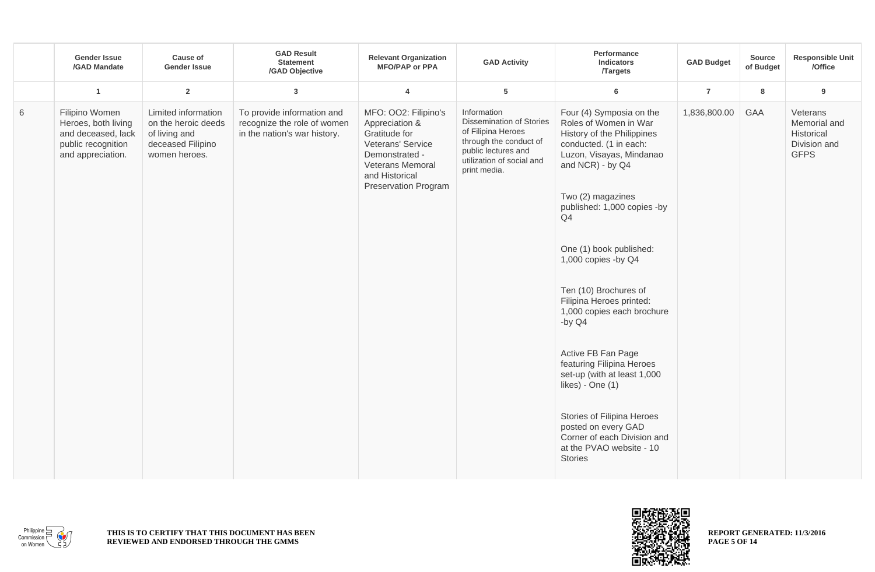|   | <b>Gender Issue</b><br>/GAD Mandate                                                                    | <b>Cause of</b><br><b>Gender Issue</b>                                                            | <b>GAD Result</b><br><b>Statement</b><br>/GAD Objective                                   | <b>Relevant Organization</b><br><b>MFO/PAP or PPA</b>                                                                                                               | <b>GAD Activity</b>                                                                                                                                                | Performance<br>Indicators<br><b>Targets</b>                                                                                                                                                                                                                                                                                                                                                                                                                                                                                     | <b>GAD Budget</b> | <b>Source</b><br>of Budget | <b>Responsible Unit</b><br>/Office                                    |
|---|--------------------------------------------------------------------------------------------------------|---------------------------------------------------------------------------------------------------|-------------------------------------------------------------------------------------------|---------------------------------------------------------------------------------------------------------------------------------------------------------------------|--------------------------------------------------------------------------------------------------------------------------------------------------------------------|---------------------------------------------------------------------------------------------------------------------------------------------------------------------------------------------------------------------------------------------------------------------------------------------------------------------------------------------------------------------------------------------------------------------------------------------------------------------------------------------------------------------------------|-------------------|----------------------------|-----------------------------------------------------------------------|
|   | $\overline{1}$                                                                                         | $\overline{2}$                                                                                    | $\mathbf{3}$                                                                              | $\overline{4}$                                                                                                                                                      | $\sqrt{5}$                                                                                                                                                         | 6                                                                                                                                                                                                                                                                                                                                                                                                                                                                                                                               | $\overline{7}$    | 8                          | 9                                                                     |
| 6 | Filipino Women<br>Heroes, both living<br>and deceased, lack<br>public recognition<br>and appreciation. | Limited information<br>on the heroic deeds<br>of living and<br>deceased Filipino<br>women heroes. | To provide information and<br>recognize the role of women<br>in the nation's war history. | MFO: OO2: Filipino's<br>Appreciation &<br>Gratitude for<br>Veterans' Service<br>Demonstrated -<br>Veterans Memoral<br>and Historical<br><b>Preservation Program</b> | Information<br><b>Dissemination of Stories</b><br>of Filipina Heroes<br>through the conduct of<br>public lectures and<br>utilization of social and<br>print media. | Four (4) Symposia on the<br>Roles of Women in War<br>History of the Philippines<br>conducted. (1 in each:<br>Luzon, Visayas, Mindanao<br>and NCR) - by Q4<br>Two (2) magazines<br>published: 1,000 copies -by<br>Q4<br>One (1) book published:<br>1,000 copies -by Q4<br>Ten (10) Brochures of<br>Filipina Heroes printed:<br>1,000 copies each brochure<br>-by $Q4$<br>Active FB Fan Page<br>featuring Filipina Heroes<br>set-up (with at least 1,000<br>likes) - One (1)<br>Stories of Filipina Heroes<br>posted on every GAD | 1,836,800.00      | GAA                        | Veterans<br>Memorial and<br>Historical<br>Division and<br><b>GFPS</b> |
|   |                                                                                                        |                                                                                                   |                                                                                           |                                                                                                                                                                     |                                                                                                                                                                    | Corner of each Division and<br>at the PVAO website - 10<br><b>Stories</b>                                                                                                                                                                                                                                                                                                                                                                                                                                                       |                   |                            |                                                                       |



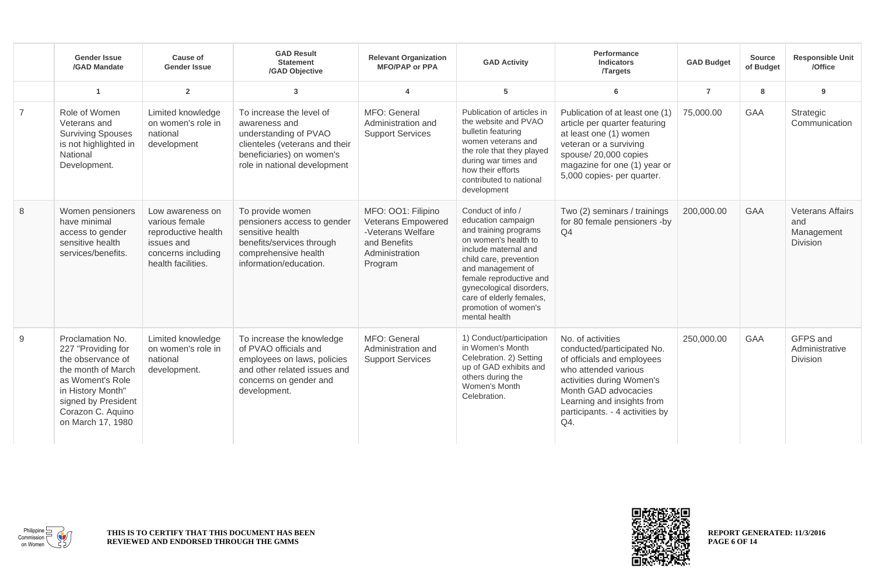|                | <b>Gender Issue</b><br>/GAD Mandate                                                                                                                                                         | Cause of<br><b>Gender Issue</b>                                                                                     | <b>GAD Result</b><br><b>Statement</b><br>/GAD Objective                                                                                                           | <b>Relevant Organization</b><br><b>MFO/PAP or PPA</b>                                                      | <b>GAD Activity</b>                                                                                                                                                                                                                                                                         | Performance<br><b>Indicators</b><br><b>Targets</b>                                                                                                                                                                                 | <b>GAD Budget</b> | <b>Source</b><br>of Budget | <b>Responsible Unit</b><br>/Office                       |
|----------------|---------------------------------------------------------------------------------------------------------------------------------------------------------------------------------------------|---------------------------------------------------------------------------------------------------------------------|-------------------------------------------------------------------------------------------------------------------------------------------------------------------|------------------------------------------------------------------------------------------------------------|---------------------------------------------------------------------------------------------------------------------------------------------------------------------------------------------------------------------------------------------------------------------------------------------|------------------------------------------------------------------------------------------------------------------------------------------------------------------------------------------------------------------------------------|-------------------|----------------------------|----------------------------------------------------------|
|                | $\overline{1}$                                                                                                                                                                              | $\overline{2}$                                                                                                      | $\overline{3}$                                                                                                                                                    | 4                                                                                                          | 5                                                                                                                                                                                                                                                                                           | 6                                                                                                                                                                                                                                  | $\overline{7}$    | 8                          | 9                                                        |
| $\overline{7}$ | Role of Women<br>Veterans and<br><b>Surviving Spouses</b><br>is not highlighted in<br>National<br>Development.                                                                              | Limited knowledge<br>on women's role in<br>national<br>development                                                  | To increase the level of<br>awareness and<br>understanding of PVAO<br>clienteles (veterans and their<br>beneficiaries) on women's<br>role in national development | MFO: General<br>Administration and<br><b>Support Services</b>                                              | Publication of articles in<br>the website and PVAO<br>bulletin featuring<br>women veterans and<br>the role that they played<br>during war times and<br>how their efforts<br>contributed to national<br>development                                                                          | Publication of at least one (1)<br>article per quarter featuring<br>at least one (1) women<br>veteran or a surviving<br>spouse/20,000 copies<br>magazine for one (1) year or<br>5,000 copies- per quarter.                         | 75,000.00         | <b>GAA</b>                 | Strategic<br>Communication                               |
| 8              | Women pensioners<br>have minimal<br>access to gender<br>sensitive health<br>services/benefits.                                                                                              | Low awareness on<br>various female<br>reproductive health<br>issues and<br>concerns including<br>health facilities. | To provide women<br>pensioners access to gender<br>sensitive health<br>benefits/services through<br>comprehensive health<br>information/education.                | MFO: OO1: Filipino<br>Veterans Empowered<br>-Veterans Welfare<br>and Benefits<br>Administration<br>Program | Conduct of info /<br>education campaign<br>and training programs<br>on women's health to<br>include maternal and<br>child care, prevention<br>and management of<br>female reproductive and<br>gynecological disorders,<br>care of elderly females,<br>promotion of women's<br>mental health | Two (2) seminars / trainings<br>for 80 female pensioners -by<br>Q <sub>4</sub>                                                                                                                                                     | 200,000.00        | GAA                        | <b>Veterans Affairs</b><br>and<br>Management<br>Division |
| 9              | Proclamation No.<br>227 "Providing for<br>the observance of<br>the month of March<br>as Woment's Role<br>in History Month"<br>signed by President<br>Corazon C. Aquino<br>on March 17, 1980 | Limited knowledge<br>on women's role in<br>national<br>development.                                                 | To increase the knowledge<br>of PVAO officials and<br>employees on laws, policies<br>and other related issues and<br>concerns on gender and<br>development.       | MFO: General<br>Administration and<br><b>Support Services</b>                                              | 1) Conduct/participation<br>in Women's Month<br>Celebration. 2) Setting<br>up of GAD exhibits and<br>others during the<br>Women's Month<br>Celebration.                                                                                                                                     | No. of activities<br>conducted/participated No.<br>of officials and employees<br>who attended various<br>activities during Women's<br>Month GAD advocacies<br>Learning and insights from<br>participants. - 4 activities by<br>Q4. | 250,000.00        | <b>GAA</b>                 | GFPS and<br>Administrative<br>Division                   |



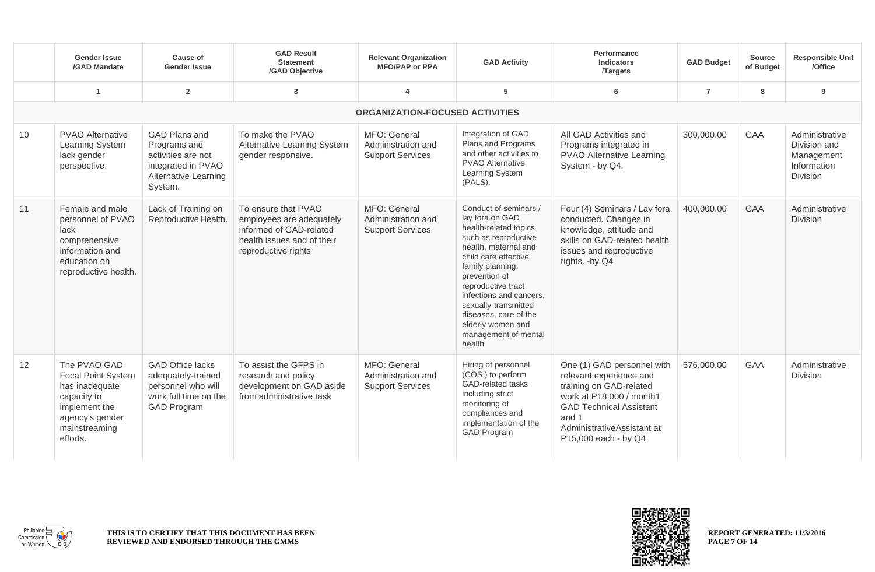|    | <b>Gender Issue</b><br>/GAD Mandate                                                                                                         | Cause of<br><b>Gender Issue</b>                                                                                            | <b>GAD Result</b><br><b>Statement</b><br>/GAD Objective                                                                         | <b>Relevant Organization</b><br><b>MFO/PAP or PPA</b>         | <b>GAD Activity</b>                                                                                                                                                                                                                                                                                                                     | <b>Performance</b><br><b>Indicators</b><br><b>Targets</b>                                                                                                                                                     | <b>GAD Budget</b> | <b>Source</b><br>of Budget | <b>Responsible Unit</b><br>/Office                                      |
|----|---------------------------------------------------------------------------------------------------------------------------------------------|----------------------------------------------------------------------------------------------------------------------------|---------------------------------------------------------------------------------------------------------------------------------|---------------------------------------------------------------|-----------------------------------------------------------------------------------------------------------------------------------------------------------------------------------------------------------------------------------------------------------------------------------------------------------------------------------------|---------------------------------------------------------------------------------------------------------------------------------------------------------------------------------------------------------------|-------------------|----------------------------|-------------------------------------------------------------------------|
|    | $\overline{1}$                                                                                                                              | $\overline{2}$                                                                                                             | 3                                                                                                                               | $\overline{4}$                                                | 5                                                                                                                                                                                                                                                                                                                                       | 6                                                                                                                                                                                                             | $\overline{7}$    | 8                          | 9                                                                       |
|    |                                                                                                                                             |                                                                                                                            |                                                                                                                                 | <b>ORGANIZATION-FOCUSED ACTIVITIES</b>                        |                                                                                                                                                                                                                                                                                                                                         |                                                                                                                                                                                                               |                   |                            |                                                                         |
| 10 | <b>PVAO Alternative</b><br>Learning System<br>lack gender<br>perspective.                                                                   | <b>GAD Plans and</b><br>Programs and<br>activities are not<br>integrated in PVAO<br><b>Alternative Learning</b><br>System. | To make the PVAO<br>Alternative Learning System<br>gender responsive.                                                           | MFO: General<br>Administration and<br><b>Support Services</b> | Integration of GAD<br>Plans and Programs<br>and other activities to<br><b>PVAO Alternative</b><br>Learning System<br>(PALS).                                                                                                                                                                                                            | All GAD Activities and<br>Programs integrated in<br><b>PVAO Alternative Learning</b><br>System - by Q4.                                                                                                       | 300,000.00        | <b>GAA</b>                 | Administrative<br>Division and<br>Management<br>Information<br>Division |
| 11 | Female and male<br>personnel of PVAO<br>lack<br>comprehensive<br>information and<br>education on<br>reproductive health.                    | Lack of Training on<br>Reproductive Health.                                                                                | To ensure that PVAO<br>employees are adequately<br>informed of GAD-related<br>health issues and of their<br>reproductive rights | MFO: General<br>Administration and<br><b>Support Services</b> | Conduct of seminars /<br>lay fora on GAD<br>health-related topics<br>such as reproductive<br>health, maternal and<br>child care effective<br>family planning,<br>prevention of<br>reproductive tract<br>infections and cancers.<br>sexually-transmitted<br>diseases, care of the<br>elderly women and<br>management of mental<br>health | Four (4) Seminars / Lay fora<br>conducted. Changes in<br>knowledge, attitude and<br>skills on GAD-related health<br>issues and reproductive<br>rights. -by Q4                                                 | 400,000.00        | <b>GAA</b>                 | Administrative<br>Division                                              |
| 12 | The PVAO GAD<br><b>Focal Point System</b><br>has inadequate<br>capacity to<br>implement the<br>agency's gender<br>mainstreaming<br>efforts. | <b>GAD Office lacks</b><br>adequately-trained<br>personnel who will<br>work full time on the<br><b>GAD Program</b>         | To assist the GFPS in<br>research and policy<br>development on GAD aside<br>from administrative task                            | MFO: General<br>Administration and<br><b>Support Services</b> | Hiring of personnel<br>(COS) to perform<br>GAD-related tasks<br>including strict<br>monitoring of<br>compliances and<br>implementation of the<br><b>GAD Program</b>                                                                                                                                                                     | One (1) GAD personnel with<br>relevant experience and<br>training on GAD-related<br>work at P18,000 / month1<br><b>GAD Technical Assistant</b><br>and 1<br>AdministrativeAssistant at<br>P15,000 each - by Q4 | 576,000.00        | <b>GAA</b>                 | Administrative<br><b>Division</b>                                       |



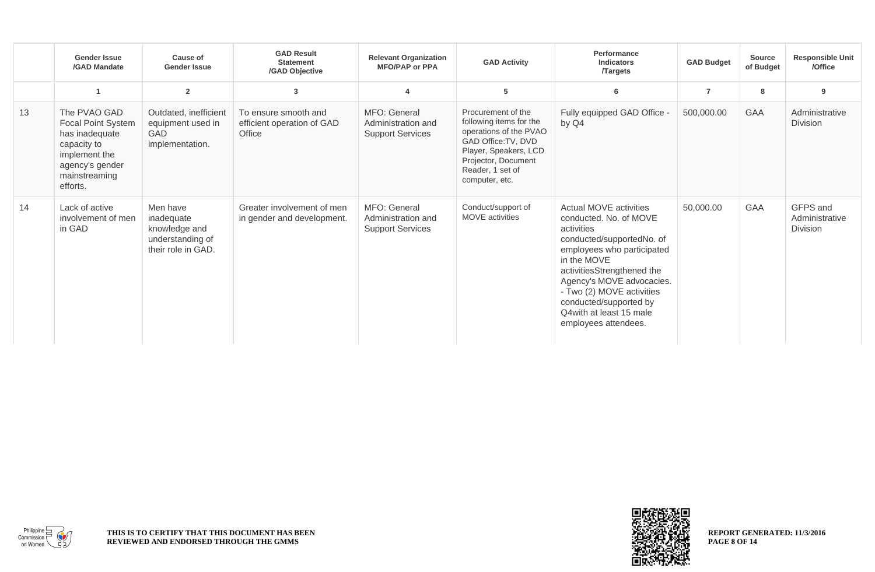|    | <b>Gender Issue</b><br>/GAD Mandate                                                                                                         | Cause of<br><b>Gender Issue</b>                                                   | <b>GAD Result</b><br><b>Statement</b><br>/GAD Objective      | <b>Relevant Organization</b><br><b>MFO/PAP or PPA</b>         | <b>GAD Activity</b>                                                                                                                                                                  | Performance<br><b>Indicators</b><br><b>Targets</b>                                                                                                                                                                                                                                                             | <b>GAD Budget</b> | <b>Source</b><br>of Budget | <b>Responsible Unit</b><br>/Office            |
|----|---------------------------------------------------------------------------------------------------------------------------------------------|-----------------------------------------------------------------------------------|--------------------------------------------------------------|---------------------------------------------------------------|--------------------------------------------------------------------------------------------------------------------------------------------------------------------------------------|----------------------------------------------------------------------------------------------------------------------------------------------------------------------------------------------------------------------------------------------------------------------------------------------------------------|-------------------|----------------------------|-----------------------------------------------|
|    | $\overline{\mathbf{1}}$                                                                                                                     | $\overline{2}$                                                                    | 3                                                            |                                                               | 5                                                                                                                                                                                    | 6                                                                                                                                                                                                                                                                                                              | $\overline{7}$    | 8                          | 9                                             |
| 13 | The PVAO GAD<br><b>Focal Point System</b><br>has inadequate<br>capacity to<br>implement the<br>agency's gender<br>mainstreaming<br>efforts. | Outdated, inefficient<br>equipment used in<br><b>GAD</b><br>implementation.       | To ensure smooth and<br>efficient operation of GAD<br>Office | MFO: General<br>Administration and<br><b>Support Services</b> | Procurement of the<br>following items for the<br>operations of the PVAO<br>GAD Office: TV, DVD<br>Player, Speakers, LCD<br>Projector, Document<br>Reader, 1 set of<br>computer, etc. | Fully equipped GAD Office -<br>by Q4                                                                                                                                                                                                                                                                           | 500,000.00        | <b>GAA</b>                 | Administrative<br><b>Division</b>             |
| 14 | Lack of active<br>involvement of men<br>in GAD                                                                                              | Men have<br>inadequate<br>knowledge and<br>understanding of<br>their role in GAD. | Greater involvement of men<br>in gender and development.     | MFO: General<br>Administration and<br><b>Support Services</b> | Conduct/support of<br><b>MOVE</b> activities                                                                                                                                         | Actual MOVE activities<br>conducted. No. of MOVE<br>activities<br>conducted/supportedNo. of<br>employees who participated<br>in the MOVE<br>activitiesStrengthened the<br>Agency's MOVE advocacies.<br>- Two (2) MOVE activities<br>conducted/supported by<br>Q4 with at least 15 male<br>employees attendees. | 50,000.00         | GAA                        | GFPS and<br>Administrative<br><b>Division</b> |



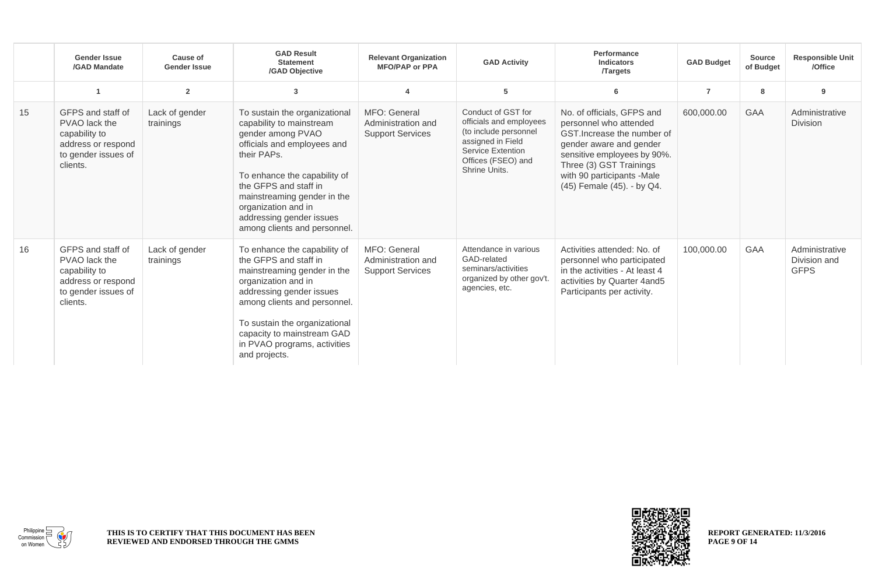|    | <b>Gender Issue</b><br>/GAD Mandate                                                                          | Cause of<br><b>Gender Issue</b> | <b>GAD Result</b><br><b>Statement</b><br>/GAD Objective                                                                                                                                                                                                                                                 | <b>Relevant Organization</b><br><b>MFO/PAP or PPA</b>         | <b>GAD Activity</b>                                                                                                                                     | <b>Performance</b><br><b>Indicators</b><br><b>Targets</b>                                                                                                                                                                            | <b>GAD Budget</b> | <b>Source</b><br>of Budget | <b>Responsible Unit</b><br>/Office            |
|----|--------------------------------------------------------------------------------------------------------------|---------------------------------|---------------------------------------------------------------------------------------------------------------------------------------------------------------------------------------------------------------------------------------------------------------------------------------------------------|---------------------------------------------------------------|---------------------------------------------------------------------------------------------------------------------------------------------------------|--------------------------------------------------------------------------------------------------------------------------------------------------------------------------------------------------------------------------------------|-------------------|----------------------------|-----------------------------------------------|
|    |                                                                                                              | $\overline{2}$                  | 3                                                                                                                                                                                                                                                                                                       |                                                               | 5                                                                                                                                                       | 6                                                                                                                                                                                                                                    | $\overline{7}$    | 8                          | 9                                             |
| 15 | GFPS and staff of<br>PVAO lack the<br>capability to<br>address or respond<br>to gender issues of<br>clients. | Lack of gender<br>trainings     | To sustain the organizational<br>capability to mainstream<br>gender among PVAO<br>officials and employees and<br>their PAPs.<br>To enhance the capability of<br>the GFPS and staff in<br>mainstreaming gender in the<br>organization and in<br>addressing gender issues<br>among clients and personnel. | MFO: General<br>Administration and<br><b>Support Services</b> | Conduct of GST for<br>officials and employees<br>(to include personnel<br>assigned in Field<br>Service Extention<br>Offices (FSEO) and<br>Shrine Units. | No. of officials, GFPS and<br>personnel who attended<br>GST. Increase the number of<br>gender aware and gender<br>sensitive employees by 90%.<br>Three (3) GST Trainings<br>with 90 participants -Male<br>(45) Female (45). - by Q4. | 600,000.00        | <b>GAA</b>                 | Administrative<br><b>Division</b>             |
| 16 | GFPS and staff of<br>PVAO lack the<br>capability to<br>address or respond<br>to gender issues of<br>clients. | Lack of gender<br>trainings     | To enhance the capability of<br>the GFPS and staff in<br>mainstreaming gender in the<br>organization and in<br>addressing gender issues<br>among clients and personnel.<br>To sustain the organizational<br>capacity to mainstream GAD<br>in PVAO programs, activities<br>and projects.                 | MFO: General<br>Administration and<br><b>Support Services</b> | Attendance in various<br>GAD-related<br>seminars/activities<br>organized by other gov't.<br>agencies, etc.                                              | Activities attended: No. of<br>personnel who participated<br>in the activities - At least 4<br>activities by Quarter 4and5<br>Participants per activity.                                                                             | 100,000.00        | <b>GAA</b>                 | Administrative<br>Division and<br><b>GFPS</b> |



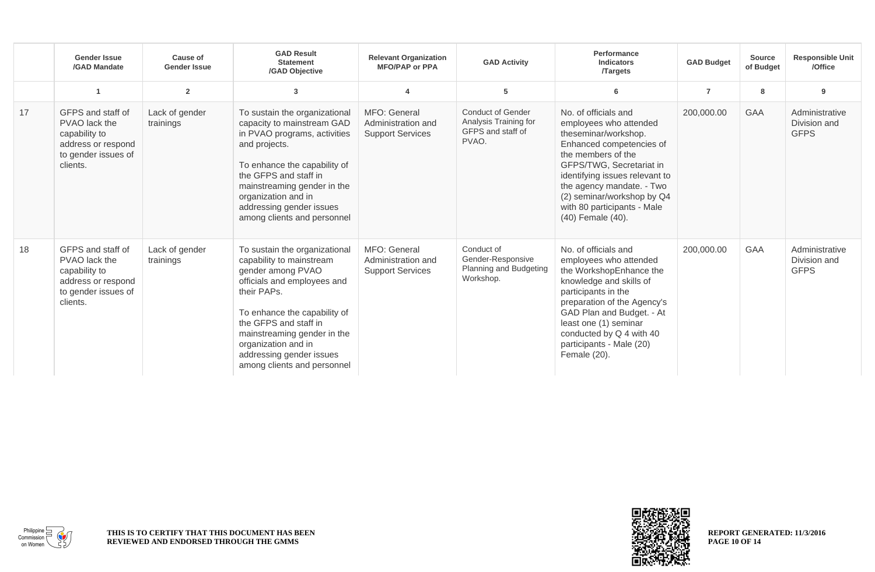|    | <b>Gender Issue</b><br>/GAD Mandate                                                                          | Cause of<br><b>Gender Issue</b> | <b>GAD Result</b><br><b>Statement</b><br>/GAD Objective                                                                                                                                                                                                                                                | <b>Relevant Organization</b><br><b>MFO/PAP or PPA</b>         | <b>GAD Activity</b>                                                             | Performance<br><b>Indicators</b><br><b>Targets</b>                                                                                                                                                                                                                                                    | <b>GAD Budget</b> | <b>Source</b><br>of Budget | <b>Responsible Unit</b><br>/Office            |
|----|--------------------------------------------------------------------------------------------------------------|---------------------------------|--------------------------------------------------------------------------------------------------------------------------------------------------------------------------------------------------------------------------------------------------------------------------------------------------------|---------------------------------------------------------------|---------------------------------------------------------------------------------|-------------------------------------------------------------------------------------------------------------------------------------------------------------------------------------------------------------------------------------------------------------------------------------------------------|-------------------|----------------------------|-----------------------------------------------|
|    | $\overline{1}$                                                                                               | $\overline{2}$                  | 3                                                                                                                                                                                                                                                                                                      |                                                               | 5                                                                               | 6                                                                                                                                                                                                                                                                                                     | $\overline{7}$    | 8                          | 9                                             |
| 17 | GFPS and staff of<br>PVAO lack the<br>capability to<br>address or respond<br>to gender issues of<br>clients. | Lack of gender<br>trainings     | To sustain the organizational<br>capacity to mainstream GAD<br>in PVAO programs, activities<br>and projects.<br>To enhance the capability of<br>the GFPS and staff in<br>mainstreaming gender in the<br>organization and in<br>addressing gender issues<br>among clients and personnel                 | MFO: General<br>Administration and<br><b>Support Services</b> | <b>Conduct of Gender</b><br>Analysis Training for<br>GFPS and staff of<br>PVAO. | No. of officials and<br>employees who attended<br>theseminar/workshop.<br>Enhanced competencies of<br>the members of the<br>GFPS/TWG, Secretariat in<br>identifying issues relevant to<br>the agency mandate. - Two<br>(2) seminar/workshop by Q4<br>with 80 participants - Male<br>(40) Female (40). | 200,000.00        | <b>GAA</b>                 | Administrative<br>Division and<br><b>GFPS</b> |
| 18 | GFPS and staff of<br>PVAO lack the<br>capability to<br>address or respond<br>to gender issues of<br>clients. | Lack of gender<br>trainings     | To sustain the organizational<br>capability to mainstream<br>gender among PVAO<br>officials and employees and<br>their PAPs.<br>To enhance the capability of<br>the GFPS and staff in<br>mainstreaming gender in the<br>organization and in<br>addressing gender issues<br>among clients and personnel | MFO: General<br>Administration and<br><b>Support Services</b> | Conduct of<br>Gender-Responsive<br>Planning and Budgeting<br>Workshop.          | No. of officials and<br>employees who attended<br>the WorkshopEnhance the<br>knowledge and skills of<br>participants in the<br>preparation of the Agency's<br>GAD Plan and Budget. - At<br>least one (1) seminar<br>conducted by Q 4 with 40<br>participants - Male (20)<br>Female (20).              | 200,000.00        | GAA                        | Administrative<br>Division and<br><b>GFPS</b> |



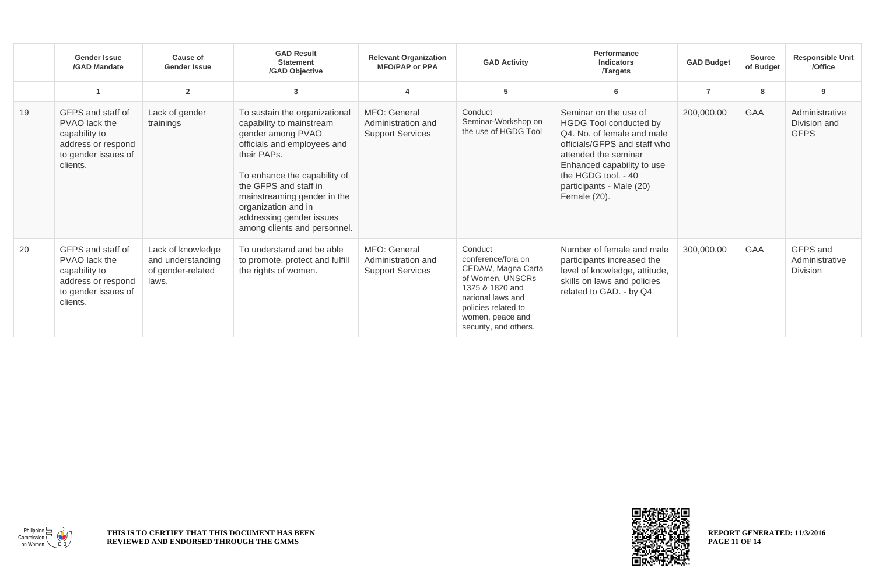|    | <b>Gender Issue</b><br>/GAD Mandate                                                                          | Cause of<br><b>Gender Issue</b>                                      | <b>GAD Result</b><br><b>Statement</b><br>/GAD Objective                                                                                                                                                                                                                                                 | <b>Relevant Organization</b><br><b>MFO/PAP or PPA</b>         | <b>GAD Activity</b>                                                                                                                                                                 | Performance<br><b>Indicators</b><br><b>Targets</b>                                                                                                                                                                                     | <b>GAD Budget</b> | <b>Source</b><br>of Budget | <b>Responsible Unit</b><br>/Office            |
|----|--------------------------------------------------------------------------------------------------------------|----------------------------------------------------------------------|---------------------------------------------------------------------------------------------------------------------------------------------------------------------------------------------------------------------------------------------------------------------------------------------------------|---------------------------------------------------------------|-------------------------------------------------------------------------------------------------------------------------------------------------------------------------------------|----------------------------------------------------------------------------------------------------------------------------------------------------------------------------------------------------------------------------------------|-------------------|----------------------------|-----------------------------------------------|
|    |                                                                                                              | $\overline{2}$                                                       | 3                                                                                                                                                                                                                                                                                                       | $\overline{\mathbf{4}}$                                       | 5                                                                                                                                                                                   | 6                                                                                                                                                                                                                                      | $\overline{7}$    | 8                          | 9                                             |
| 19 | GFPS and staff of<br>PVAO lack the<br>capability to<br>address or respond<br>to gender issues of<br>clients. | Lack of gender<br>trainings                                          | To sustain the organizational<br>capability to mainstream<br>gender among PVAO<br>officials and employees and<br>their PAPs.<br>To enhance the capability of<br>the GFPS and staff in<br>mainstreaming gender in the<br>organization and in<br>addressing gender issues<br>among clients and personnel. | MFO: General<br>Administration and<br><b>Support Services</b> | Conduct<br>Seminar-Workshop on<br>the use of HGDG Tool                                                                                                                              | Seminar on the use of<br>HGDG Tool conducted by<br>Q4. No. of female and male<br>officials/GFPS and staff who<br>attended the seminar<br>Enhanced capability to use<br>the HGDG tool. - 40<br>participants - Male (20)<br>Female (20). | 200,000.00        | <b>GAA</b>                 | Administrative<br>Division and<br><b>GFPS</b> |
| 20 | GFPS and staff of<br>PVAO lack the<br>capability to<br>address or respond<br>to gender issues of<br>clients. | Lack of knowledge<br>and understanding<br>of gender-related<br>laws. | To understand and be able<br>to promote, protect and fulfill<br>the rights of women.                                                                                                                                                                                                                    | MFO: General<br>Administration and<br><b>Support Services</b> | Conduct<br>conference/fora on<br>CEDAW, Magna Carta<br>of Women, UNSCRs<br>1325 & 1820 and<br>national laws and<br>policies related to<br>women, peace and<br>security, and others. | Number of female and male<br>participants increased the<br>level of knowledge, attitude,<br>skills on laws and policies<br>related to GAD. - by Q4                                                                                     | 300,000.00        | <b>GAA</b>                 | GFPS and<br>Administrative<br><b>Division</b> |



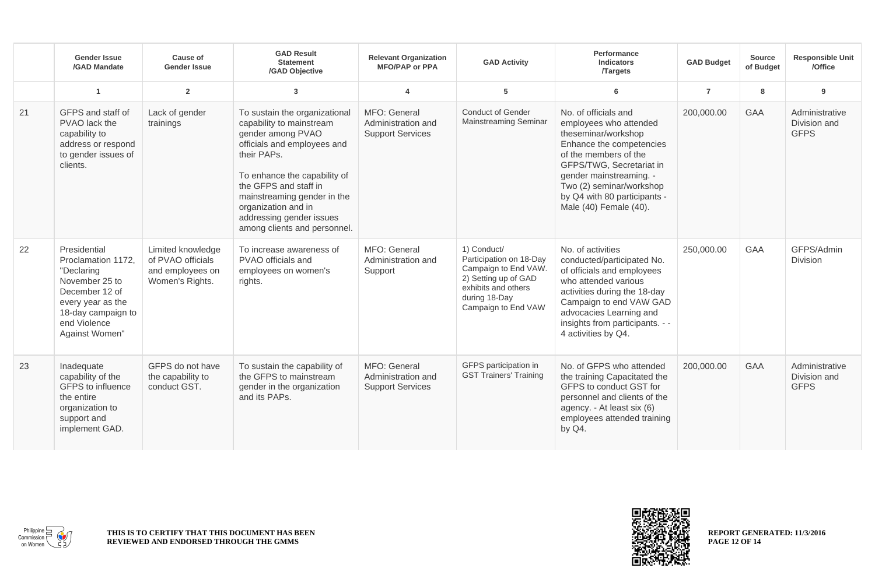|    | <b>Gender Issue</b><br>/GAD Mandate                                                                                                                               | Cause of<br><b>Gender Issue</b>                                               | <b>GAD Result</b><br><b>Statement</b><br>/GAD Objective                                                                                                                                                                                                                                                 | <b>Relevant Organization</b><br><b>MFO/PAP or PPA</b>         | <b>GAD Activity</b>                                                                                                                                   | Performance<br><b>Indicators</b><br><b>Targets</b>                                                                                                                                                                                                                      | <b>GAD Budget</b> | <b>Source</b><br>of Budget | <b>Responsible Unit</b><br>/Office            |
|----|-------------------------------------------------------------------------------------------------------------------------------------------------------------------|-------------------------------------------------------------------------------|---------------------------------------------------------------------------------------------------------------------------------------------------------------------------------------------------------------------------------------------------------------------------------------------------------|---------------------------------------------------------------|-------------------------------------------------------------------------------------------------------------------------------------------------------|-------------------------------------------------------------------------------------------------------------------------------------------------------------------------------------------------------------------------------------------------------------------------|-------------------|----------------------------|-----------------------------------------------|
|    | $\overline{1}$                                                                                                                                                    | $\overline{2}$                                                                | 3                                                                                                                                                                                                                                                                                                       | Δ                                                             | 5                                                                                                                                                     | 6                                                                                                                                                                                                                                                                       | $\overline{7}$    | 8                          | 9                                             |
| 21 | GFPS and staff of<br>PVAO lack the<br>capability to<br>address or respond<br>to gender issues of<br>clients.                                                      | Lack of gender<br>trainings                                                   | To sustain the organizational<br>capability to mainstream<br>gender among PVAO<br>officials and employees and<br>their PAPs.<br>To enhance the capability of<br>the GFPS and staff in<br>mainstreaming gender in the<br>organization and in<br>addressing gender issues<br>among clients and personnel. | MFO: General<br>Administration and<br><b>Support Services</b> | <b>Conduct of Gender</b><br><b>Mainstreaming Seminar</b>                                                                                              | No. of officials and<br>employees who attended<br>theseminar/workshop<br>Enhance the competencies<br>of the members of the<br>GFPS/TWG, Secretariat in<br>gender mainstreaming. -<br>Two (2) seminar/workshop<br>by Q4 with 80 participants -<br>Male (40) Female (40). | 200,000.00        | <b>GAA</b>                 | Administrative<br>Division and<br><b>GFPS</b> |
| 22 | Presidential<br>Proclamation 1172,<br>"Declaring<br>November 25 to<br>December 12 of<br>every year as the<br>18-day campaign to<br>end Violence<br>Against Women" | Limited knowledge<br>of PVAO officials<br>and employees on<br>Women's Rights. | To increase awareness of<br>PVAO officials and<br>employees on women's<br>rights.                                                                                                                                                                                                                       | MFO: General<br>Administration and<br>Support                 | 1) Conduct/<br>Participation on 18-Day<br>Campaign to End VAW.<br>2) Setting up of GAD<br>exhibits and others<br>during 18-Day<br>Campaign to End VAW | No. of activities<br>conducted/participated No.<br>of officials and employees<br>who attended various<br>activities during the 18-day<br>Campaign to end VAW GAD<br>advocacies Learning and<br>insights from participants. - -<br>4 activities by Q4.                   | 250,000.00        | <b>GAA</b>                 | GFPS/Admin<br><b>Division</b>                 |
| 23 | Inadequate<br>capability of the<br>GFPS to influence<br>the entire<br>organization to<br>support and<br>implement GAD.                                            | GFPS do not have<br>the capability to<br>conduct GST.                         | To sustain the capability of<br>the GFPS to mainstream<br>gender in the organization<br>and its PAPs.                                                                                                                                                                                                   | MFO: General<br>Administration and<br><b>Support Services</b> | GFPS participation in<br><b>GST Trainers' Training</b>                                                                                                | No. of GFPS who attended<br>the training Capacitated the<br>GFPS to conduct GST for<br>personnel and clients of the<br>agency. - At least six (6)<br>employees attended training<br>by Q4.                                                                              | 200,000.00        | <b>GAA</b>                 | Administrative<br>Division and<br><b>GFPS</b> |



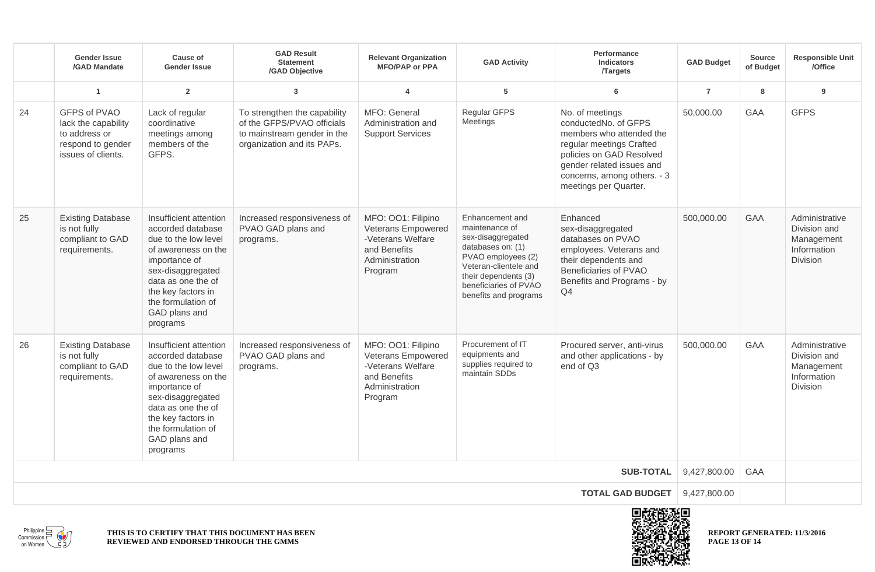|                         | <b>Gender Issue</b><br>/GAD Mandate                                                             | Cause of<br><b>Gender Issue</b>                                                                                                                                                                                                 | <b>GAD Result</b><br><b>Statement</b><br>/GAD Objective                                                                 | <b>Relevant Organization</b><br><b>MFO/PAP or PPA</b>                                                      | <b>GAD Activity</b>                                                                                                                                                                                  | Performance<br>Indicators<br><b>/Targets</b>                                                                                                                                                                     | <b>GAD Budget</b> | <b>Source</b><br>of Budget | <b>Responsible Unit</b><br>/Office                                             |
|-------------------------|-------------------------------------------------------------------------------------------------|---------------------------------------------------------------------------------------------------------------------------------------------------------------------------------------------------------------------------------|-------------------------------------------------------------------------------------------------------------------------|------------------------------------------------------------------------------------------------------------|------------------------------------------------------------------------------------------------------------------------------------------------------------------------------------------------------|------------------------------------------------------------------------------------------------------------------------------------------------------------------------------------------------------------------|-------------------|----------------------------|--------------------------------------------------------------------------------|
|                         | $\overline{1}$                                                                                  | $\overline{2}$                                                                                                                                                                                                                  | 3                                                                                                                       | $\overline{\mathbf{4}}$                                                                                    | 5                                                                                                                                                                                                    | 6                                                                                                                                                                                                                | $\overline{7}$    | 8                          | 9                                                                              |
| 24                      | GFPS of PVAO<br>lack the capability<br>to address or<br>respond to gender<br>issues of clients. | Lack of regular<br>coordinative<br>meetings among<br>members of the<br>GFPS.                                                                                                                                                    | To strengthen the capability<br>of the GFPS/PVAO officials<br>to mainstream gender in the<br>organization and its PAPs. | MFO: General<br>Administration and<br><b>Support Services</b>                                              | Regular GFPS<br>Meetings                                                                                                                                                                             | No. of meetings<br>conductedNo. of GFPS<br>members who attended the<br>regular meetings Crafted<br>policies on GAD Resolved<br>gender related issues and<br>concerns, among others. - 3<br>meetings per Quarter. | 50,000.00         | GAA                        | <b>GFPS</b>                                                                    |
| 25                      | <b>Existing Database</b><br>is not fully<br>compliant to GAD<br>requirements.                   | Insufficient attention<br>accorded database<br>due to the low level<br>of awareness on the<br>importance of<br>sex-disaggregated<br>data as one the of<br>the key factors in<br>the formulation of<br>GAD plans and<br>programs | Increased responsiveness of<br>PVAO GAD plans and<br>programs.                                                          | MFO: 001: Filipino<br>Veterans Empowered<br>-Veterans Welfare<br>and Benefits<br>Administration<br>Program | Enhancement and<br>maintenance of<br>sex-disaggregated<br>databases on: (1)<br>PVAO employees (2)<br>Veteran-clientele and<br>their dependents (3)<br>beneficiaries of PVAO<br>benefits and programs | Enhanced<br>sex-disaggregated<br>databases on PVAO<br>employees. Veterans and<br>their dependents and<br>Beneficiaries of PVAO<br>Benefits and Programs - by<br>Q <sub>4</sub>                                   | 500,000.00        | GAA                        | Administrative<br>Division and<br>Management<br>Information<br><b>Division</b> |
| 26                      | <b>Existing Database</b><br>is not fully<br>compliant to GAD<br>requirements.                   | Insufficient attention<br>accorded database<br>due to the low level<br>of awareness on the<br>importance of<br>sex-disaggregated<br>data as one the of<br>the key factors in<br>the formulation of<br>GAD plans and<br>programs | Increased responsiveness of<br>PVAO GAD plans and<br>programs.                                                          | MFO: 001: Filipino<br>Veterans Empowered<br>-Veterans Welfare<br>and Benefits<br>Administration<br>Program | Procurement of IT<br>equipments and<br>supplies required to<br>maintain SDDs                                                                                                                         | Procured server, anti-virus<br>and other applications - by<br>end of Q3                                                                                                                                          | 500,000.00        | GAA                        | Administrative<br>Division and<br>Management<br>Information<br>Division        |
| <b>SUB-TOTAL</b>        |                                                                                                 |                                                                                                                                                                                                                                 |                                                                                                                         |                                                                                                            |                                                                                                                                                                                                      | 9,427,800.00                                                                                                                                                                                                     | GAA               |                            |                                                                                |
| <b>TOTAL GAD BUDGET</b> |                                                                                                 |                                                                                                                                                                                                                                 |                                                                                                                         |                                                                                                            |                                                                                                                                                                                                      | 9,427,800.00                                                                                                                                                                                                     |                   |                            |                                                                                |
| 南非法的现在分                 |                                                                                                 |                                                                                                                                                                                                                                 |                                                                                                                         |                                                                                                            |                                                                                                                                                                                                      |                                                                                                                                                                                                                  |                   |                            |                                                                                |





**REPORT GENERATED: 11/3/2016 PAGE 13 OF 14**